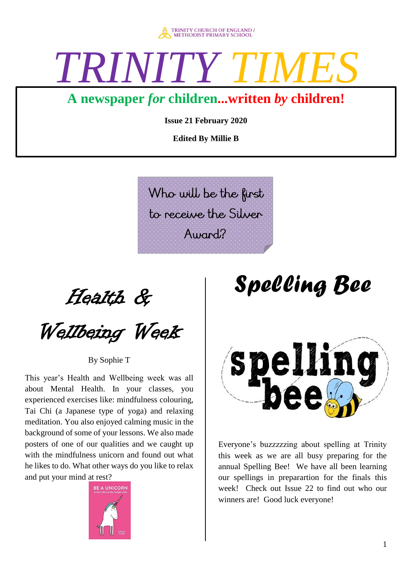

# *TRINITY*

### **A newspaper** *for* **children...written** *by* **children!**

**Issue 21 February 2020**

**Edited By Millie B**

Who will be the first to receive the Silver  $A$ umnd $<sup>2</sup>$ </sup>

Health &

Wellbeing Week

By Sophie T

This year's Health and Wellbeing week was all about Mental Health. In your classes, you experienced exercises like: mindfulness colouring, Tai Chi (a Japanese type of yoga) and relaxing meditation. You also enjoyed calming music in the background of some of your lessons. We also made posters of one of our qualities and we caught up with the mindfulness unicorn and found out what he likes to do. What other ways do you like to relax and put your mind at rest?



## *Spelling Bee*



Everyone's buzzzzzing about spelling at Trinity this week as we are all busy preparing for the annual Spelling Bee! We have all been learning our spellings in preparartion for the finals this week! Check out Issue 22 to find out who our winners are! Good luck everyone!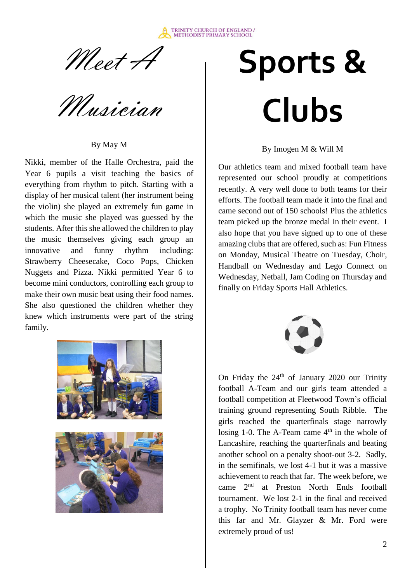

Meet H

Musician

By May M

Nikki, member of the Halle Orchestra, paid the Year 6 pupils a visit teaching the basics of everything from rhythm to pitch. Starting with a display of her musical talent (her instrument being the violin) she played an extremely fun game in which the music she played was guessed by the students. After this she allowed the children to play the music themselves giving each group an innovative and funny rhythm including: Strawberry Cheesecake, Coco Pops, Chicken Nuggets and Pizza. Nikki permitted Year 6 to become mini conductors, controlling each group to make their own music beat using their food names. She also questioned the children whether they knew which instruments were part of the string family.



# **Sports & Clubs**

By Imogen M & Will M

Our athletics team and mixed football team have represented our school proudly at competitions recently. A very well done to both teams for their efforts. The football team made it into the final and came second out of 150 schools! Plus the athletics team picked up the bronze medal in their event. I also hope that you have signed up to one of these amazing clubs that are offered, such as: Fun Fitness on Monday, Musical Theatre on Tuesday, Choir, Handball on Wednesday and Lego Connect on Wednesday, Netball, Jam Coding on Thursday and finally on Friday Sports Hall Athletics.



On Friday the  $24<sup>th</sup>$  of January 2020 our Trinity football A-Team and our girls team attended a football competition at Fleetwood Town's official training ground representing South Ribble. The girls reached the quarterfinals stage narrowly losing 1-0. The A-Team came  $4<sup>th</sup>$  in the whole of Lancashire, reaching the quarterfinals and beating another school on a penalty shoot-out 3-2. Sadly, in the semifinals, we lost 4-1 but it was a massive achievement to reach that far. The week before, we came 2nd at Preston North Ends football tournament. We lost 2-1 in the final and received a trophy. No Trinity football team has never come this far and Mr. Glayzer & Mr. Ford were extremely proud of us!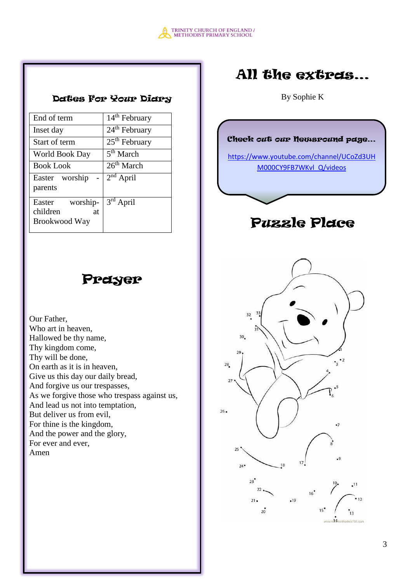

#### Dates For Your Diary

| 14 <sup>th</sup> February<br>End of term<br>24 <sup>th</sup> February<br>Inset day<br>25 <sup>th</sup> February<br>Start of term |  |
|----------------------------------------------------------------------------------------------------------------------------------|--|
|                                                                                                                                  |  |
|                                                                                                                                  |  |
|                                                                                                                                  |  |
| 5 <sup>th</sup> March<br>World Book Day                                                                                          |  |
| 26 <sup>th</sup> March<br><b>Book Look</b>                                                                                       |  |
| $2nd$ April<br>Easter worship<br>parents                                                                                         |  |
| 3rd April<br>worship-<br>Easter<br>children<br>at<br>Brookwood Way                                                               |  |

### Prayer

Our Father, Who art in heaven, Hallowed be thy name, Thy kingdom come, Thy will be done, On earth as it is in heaven, Give us this day our daily bread, And forgive us our trespasses, As we forgive those who trespass against us, And lead us not into temptation, But deliver us from evil, For thine is the kingdom, And the power and the glory, For ever and ever, Amen

## All the extras…

By Sophie K